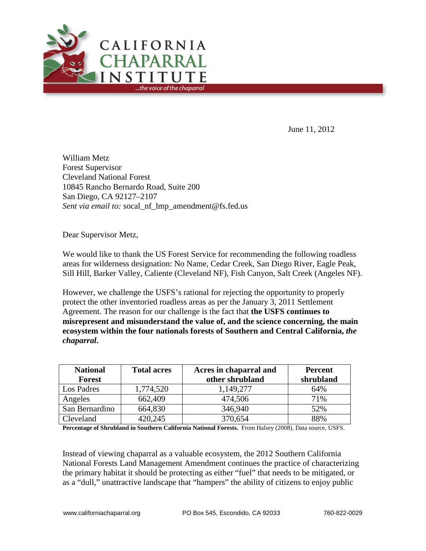

June 11, 2012

William Metz Forest Supervisor Cleveland National Forest 10845 Rancho Bernardo Road, Suite 200 San Diego, CA 92127–2107 *Sent via email to:* socal\_nf\_lmp\_amendment@fs.fed.us

Dear Supervisor Metz,

We would like to thank the US Forest Service for recommending the following roadless areas for wilderness designation: No Name, Cedar Creek, San Diego River, Eagle Peak, Sill Hill, Barker Valley, Caliente (Cleveland NF), Fish Canyon, Salt Creek (Angeles NF).

However, we challenge the USFS's rational for rejecting the opportunity to properly protect the other inventoried roadless areas as per the January 3, 2011 Settlement Agreement. The reason for our challenge is the fact that **the USFS continues to misrepresent and misunderstand the value of, and the science concerning, the main ecosystem within the four nationals forests of Southern and Central California,** *the chaparral***.**

| <b>National</b> | <b>Total acres</b> | Acres in chaparral and | <b>Percent</b> |
|-----------------|--------------------|------------------------|----------------|
| <b>Forest</b>   |                    | other shrubland        | shrubland      |
| Los Padres      | 1,774,520          | 1,149,277              | 64%            |
| Angeles         | 662,409            | 474,506                | 71%            |
| San Bernardino  | 664,830            | 346,940                | 52%            |
| Cleveland       | 420,245            | 370,654                | 88%            |

**Percentage of Shrubland in Southern California National Forests.** From Halsey (2008). Data source, USFS.

Instead of viewing chaparral as a valuable ecosystem, the 2012 Southern California National Forests Land Management Amendment continues the practice of characterizing the primary habitat it should be protecting as either "fuel" that needs to be mitigated, or as a "dull," unattractive landscape that "hampers" the ability of citizens to enjoy public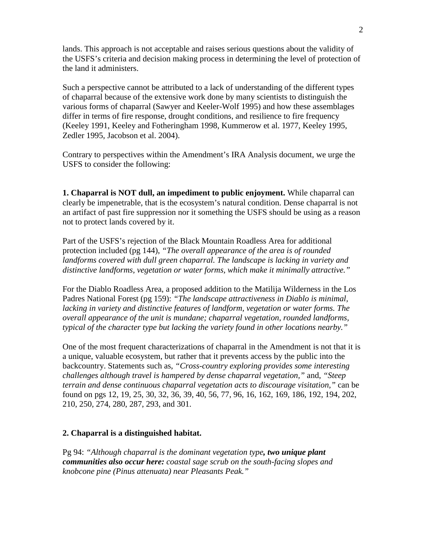lands. This approach is not acceptable and raises serious questions about the validity of the USFS's criteria and decision making process in determining the level of protection of the land it administers.

Such a perspective cannot be attributed to a lack of understanding of the different types of chaparral because of the extensive work done by many scientists to distinguish the various forms of chaparral (Sawyer and Keeler-Wolf 1995) and how these assemblages differ in terms of fire response, drought conditions, and resilience to fire frequency (Keeley 1991, Keeley and Fotheringham 1998, Kummerow et al. 1977, Keeley 1995, Zedler 1995, Jacobson et al. 2004).

Contrary to perspectives within the Amendment's IRA Analysis document, we urge the USFS to consider the following:

**1. Chaparral is NOT dull, an impediment to public enjoyment.** While chaparral can clearly be impenetrable, that is the ecosystem's natural condition. Dense chaparral is not an artifact of past fire suppression nor it something the USFS should be using as a reason not to protect lands covered by it.

Part of the USFS's rejection of the Black Mountain Roadless Area for additional protection included (pg 144), *"The overall appearance of the area is of rounded landforms covered with dull green chaparral. The landscape is lacking in variety and distinctive landforms, vegetation or water forms, which make it minimally attractive."*

For the Diablo Roadless Area, a proposed addition to the Matilija Wilderness in the Los Padres National Forest (pg 159): *"The landscape attractiveness in Diablo is minimal, lacking in variety and distinctive features of landform, vegetation or water forms. The overall appearance of the unit is mundane; chaparral vegetation, rounded landforms, typical of the character type but lacking the variety found in other locations nearby."*

One of the most frequent characterizations of chaparral in the Amendment is not that it is a unique, valuable ecosystem, but rather that it prevents access by the public into the backcountry. Statements such as, *"Cross-country exploring provides some interesting challenges although travel is hampered by dense chaparral vegetation,"* and, *"Steep terrain and dense continuous chaparral vegetation acts to discourage visitation,"* can be found on pgs 12, 19, 25, 30, 32, 36, 39, 40, 56, 77, 96, 16, 162, 169, 186, 192, 194, 202, 210, 250, 274, 280, 287, 293, and 301.

## **2. Chaparral is a distinguished habitat.**

Pg 94: *"Although chaparral is the dominant vegetation type, two unique plant communities also occur here: coastal sage scrub on the south-facing slopes and knobcone pine (Pinus attenuata) near Pleasants Peak."*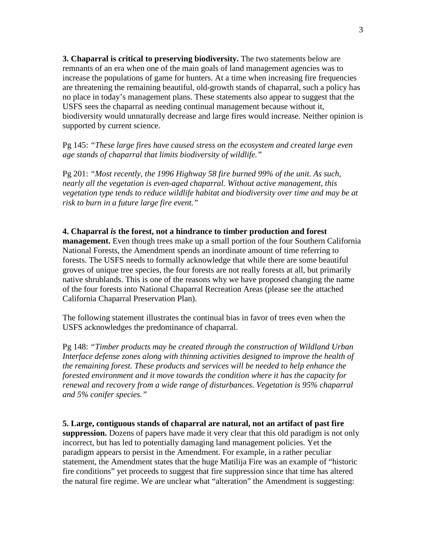**3. Chaparral is critical to preserving biodiversity.** The two statements below are remnants of an era when one of the main goals of land management agencies was to increase the populations of game for hunters. At a time when increasing fire frequencies are threatening the remaining beautiful, old-growth stands of chaparral, such a policy has no place in today's management plans. These statements also appear to suggest that the USFS sees the chaparral as needing continual management because without it, biodiversity would unnaturally decrease and large fires would increase. Neither opinion is supported by current science.

Pg 145: *"These large fires have caused stress on the ecosystem and created large even age stands of chaparral that limits biodiversity of wildlife."*

Pg 201: *"Most recently, the 1996 Highway 58 fire burned 99% of the unit. As such, nearly all the vegetation is even-aged chaparral. Without active management, this vegetation type tends to reduce wildlife habitat and biodiversity over time and may be at risk to burn in a future large fire event."*

## **4. Chaparral** *is* **the forest, not a hindrance to timber production and forest management.** Even though trees make up a small portion of the four Southern California National Forests, the Amendment spends an inordinate amount of time referring to forests. The USFS needs to formally acknowledge that while there are some beautiful groves of unique tree species, the four forests are not really forests at all, but primarily native shrublands. This is one of the reasons why we have proposed changing the name

of the four forests into National Chaparral Recreation Areas (please see the attached California Chaparral Preservation Plan).

The following statement illustrates the continual bias in favor of trees even when the USFS acknowledges the predominance of chaparral.

Pg 148: *"Timber products may be created through the construction of Wildland Urban Interface defense zones along with thinning activities designed to improve the health of the remaining forest. These products and services will be needed to help enhance the forested environment and it move towards the condition where it has the capacity for renewal and recovery from a wide range of disturbances. Vegetation is 95% chaparral and 5% conifer species."*

## **5. Large, contiguous stands of chaparral are natural, not an artifact of past fire**

**suppression.** Dozens of papers have made it very clear that this old paradigm is not only incorrect, but has led to potentially damaging land management policies. Yet the paradigm appears to persist in the Amendment. For example, in a rather peculiar statement, the Amendment states that the huge Matilija Fire was an example of "historic fire conditions" yet proceeds to suggest that fire suppression since that time has altered the natural fire regime. We are unclear what "alteration" the Amendment is suggesting: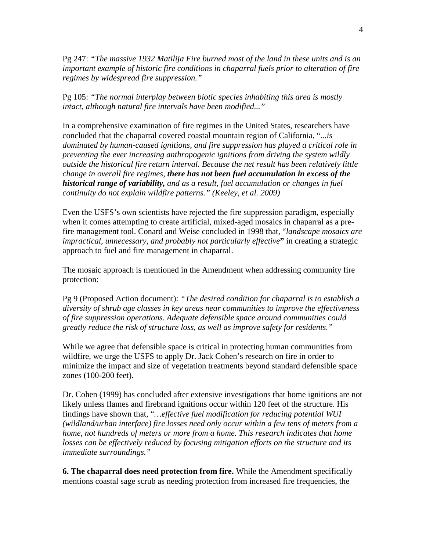Pg 247: *"The massive 1932 Matilija Fire burned most of the land in these units and is an important example of historic fire conditions in chaparral fuels prior to alteration of fire regimes by widespread fire suppression."*

Pg 105: *"The normal interplay between biotic species inhabiting this area is mostly intact, although natural fire intervals have been modified..."*

In a comprehensive examination of fire regimes in the United States, researchers have concluded that the chaparral covered coastal mountain region of California, "*...is dominated by human-caused ignitions, and fire suppression has played a critical role in preventing the ever increasing anthropogenic ignitions from driving the system wildly outside the historical fire return interval. Because the net result has been relatively little change in overall fire regimes, there has not been fuel accumulation in excess of the historical range of variability, and as a result, fuel accumulation or changes in fuel continuity do not explain wildfire patterns." (Keeley, et al. 2009)*

Even the USFS's own scientists have rejected the fire suppression paradigm, especially when it comes attempting to create artificial, mixed-aged mosaics in chaparral as a prefire management tool. Conard and Weise concluded in 1998 that, "*landscape mosaics are impractical, unnecessary, and probably not particularly effective***"** in creating a strategic approach to fuel and fire management in chaparral.

The mosaic approach is mentioned in the Amendment when addressing community fire protection:

Pg 9 (Proposed Action document): *"The desired condition for chaparral is to establish a diversity of shrub age classes in key areas near communities to improve the effectiveness of fire suppression operations. Adequate defensible space around communities could greatly reduce the risk of structure loss, as well as improve safety for residents."*

While we agree that defensible space is critical in protecting human communities from wildfire, we urge the USFS to apply Dr. Jack Cohen's research on fire in order to minimize the impact and size of vegetation treatments beyond standard defensible space zones (100-200 feet).

Dr. Cohen (1999) has concluded after extensive investigations that home ignitions are not likely unless flames and firebrand ignitions occur within 120 feet of the structure. His findings have shown that, "*…effective fuel modification for reducing potential WUI (wildland/urban interface) fire losses need only occur within a few tens of meters from a home, not hundreds of meters or more from a home. This research indicates that home losses can be effectively reduced by focusing mitigation efforts on the structure and its immediate surroundings."*

**6. The chaparral does need protection from fire.** While the Amendment specifically mentions coastal sage scrub as needing protection from increased fire frequencies, the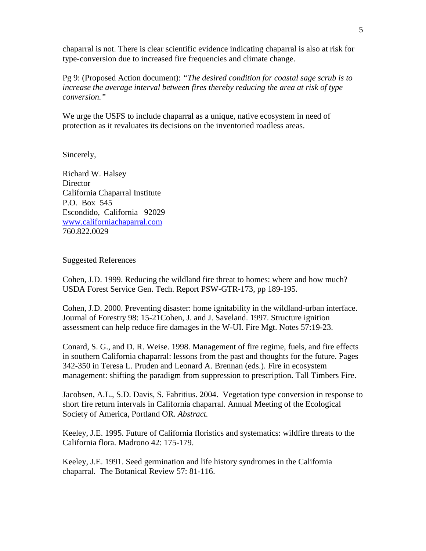chaparral is not. There is clear scientific evidence indicating chaparral is also at risk for type-conversion due to increased fire frequencies and climate change.

Pg 9: (Proposed Action document): *"The desired condition for coastal sage scrub is to increase the average interval between fires thereby reducing the area at risk of type conversion."*

We urge the USFS to include chaparral as a unique, native ecosystem in need of protection as it revaluates its decisions on the inventoried roadless areas.

Sincerely,

Richard W. Halsey **Director** California Chaparral Institute P.O. Box 545 Escondido, California 92029 [www.californiachaparral.com](http://www.californiachaparral.com/) 760.822.0029

## Suggested References

Cohen, J.D. 1999. Reducing the wildland fire threat to homes: where and how much? USDA Forest Service Gen. Tech. Report PSW-GTR-173, pp 189-195.

Cohen, J.D. 2000. Preventing disaster: home ignitability in the wildland-urban interface. Journal of Forestry 98: 15-21Cohen, J. and J. Saveland. 1997. Structure ignition assessment can help reduce fire damages in the W-UI. Fire Mgt. Notes 57:19-23.

Conard, S. G., and D. R. Weise. 1998. Management of fire regime, fuels, and fire effects in southern California chaparral: lessons from the past and thoughts for the future. Pages 342-350 in Teresa L. Pruden and Leonard A. Brennan (eds.). Fire in ecosystem management: shifting the paradigm from suppression to prescription. Tall Timbers Fire.

Jacobsen, A.L., S.D. Davis, S. Fabritius. 2004. Vegetation type conversion in response to short fire return intervals in California chaparral. Annual Meeting of the Ecological Society of America, Portland OR. *Abstract.*

Keeley, J.E. 1995. Future of California floristics and systematics: wildfire threats to the California flora. Madrono 42: 175-179.

Keeley, J.E. 1991. Seed germination and life history syndromes in the California chaparral. The Botanical Review 57: 81-116.